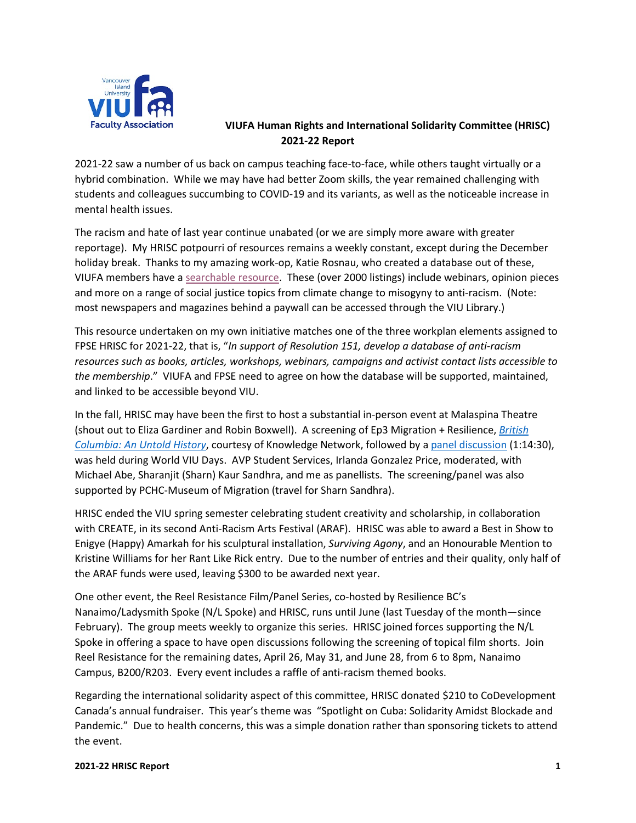

## **VIUFA Human Rights and International Solidarity Committee (HRISC) 2021-22 Report**

2021-22 saw a number of us back on campus teaching face-to-face, while others taught virtually or a hybrid combination. While we may have had better Zoom skills, the year remained challenging with students and colleagues succumbing to COVID-19 and its variants, as well as the noticeable increase in mental health issues.

The racism and hate of last year continue unabated (or we are simply more aware with greater reportage). My HRISC potpourri of resources remains a weekly constant, except during the December holiday break. Thanks to my amazing work-op, Katie Rosnau, who created a database out of these, VIUFA members have [a searchable resource.](https://viucanada-my.sharepoint.com/:x:/g/personal/kathryn_rosnau_viu_ca/EYM27GNS2-tPkavGOjvnNPgBWNNh3Jg_pPhxccZ5nqToIA) These (over 2000 listings) include webinars, opinion pieces and more on a range of social justice topics from climate change to misogyny to anti-racism. (Note: most newspapers and magazines behind a paywall can be accessed through the VIU Library.)

This resource undertaken on my own initiative matches one of the three workplan elements assigned to FPSE HRISC for 2021-22, that is, "*In support of Resolution 151, develop a database of anti-racism resources such as books, articles, workshops, webinars, campaigns and activist contact lists accessible to the membership*." VIUFA and FPSE need to agree on how the database will be supported, maintained, and linked to be accessible beyond VIU.

In the fall, HRISC may have been the first to host a substantial in-person event at Malaspina Theatre (shout out to Eliza Gardiner and Robin Boxwell). A screening of Ep3 Migration + Resilience, *[British](https://www.knowledge.ca/program/british-columbia-untold-history/e3/migration-resilience)  [Columbia: An Untold History](https://www.knowledge.ca/program/british-columbia-untold-history/e3/migration-resilience)*, courtesy of Knowledge Network, followed by a [panel discussion](https://www.facebook.com/watch/live/?ref=watch_permalink&v=643461059990179) (1:14:30), was held during World VIU Days. AVP Student Services, Irlanda Gonzalez Price, moderated, with Michael Abe, Sharanjit (Sharn) Kaur Sandhra, and me as panellists. The screening/panel was also supported by PCHC-Museum of Migration (travel for Sharn Sandhra).

HRISC ended the VIU spring semester celebrating student creativity and scholarship, in collaboration with CREATE, in its second Anti-Racism Arts Festival (ARAF). HRISC was able to award a Best in Show to Enigye (Happy) Amarkah for his sculptural installation, *Surviving Agony*, and an Honourable Mention to Kristine Williams for her Rant Like Rick entry. Due to the number of entries and their quality, only half of the ARAF funds were used, leaving \$300 to be awarded next year.

One other event, the Reel Resistance Film/Panel Series, co-hosted by Resilience BC's Nanaimo/Ladysmith Spoke (N/L Spoke) and HRISC, runs until June (last Tuesday of the month—since February). The group meets weekly to organize this series. HRISC joined forces supporting the N/L Spoke in offering a space to have open discussions following the screening of topical film shorts. Join Reel Resistance for the remaining dates, April 26, May 31, and June 28, from 6 to 8pm, Nanaimo Campus, B200/R203. Every event includes a raffle of anti-racism themed books.

Regarding the international solidarity aspect of this committee, HRISC donated \$210 to CoDevelopment Canada's annual fundraiser. This year's theme was "Spotlight on Cuba: Solidarity Amidst Blockade and Pandemic." Due to health concerns, this was a simple donation rather than sponsoring tickets to attend the event.

## **2021-22 HRISC Report 1**